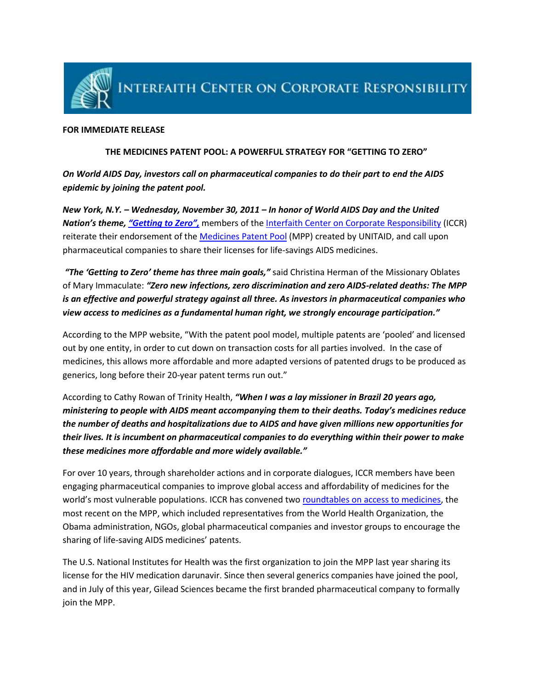

## **FOR IMMEDIATE RELEASE**

## **THE MEDICINES PATENT POOL: A POWERFUL STRATEGY FOR "GETTING TO ZERO"**

*On World AIDS Day, investors call on pharmaceutical companies to do their part to end the AIDS epidemic by joining the patent pool.*

*New York, N.Y. – Wednesday, November 30, 2011 – In honor of World AIDS Day and the United Nation's theme, ["Getting to Zero",](http://www.unaids.org/en/media/unaids/contentassets/documents/unaidspublication/2011/20111020_JC2230_getting-to-zero-inequity_en.pdf)* members of th[e Interfaith Center on Corporate Responsibility](http://www.iccr.org/) (ICCR) reiterate their endorsement of the [Medicines Patent Pool](http://www.medicinespatentpool.org/) (MPP) created by UNITAID, and call upon pharmaceutical companies to share their licenses for life-savings AIDS medicines.

*"The 'Getting to Zero' theme has three main goals,"* said Christina Herman of the Missionary Oblates of Mary Immaculate: *"Zero new infections, zero discrimination and zero AIDS-related deaths: The MPP is an effective and powerful strategy against all three. As investors in pharmaceutical companies who view access to medicines as a fundamental human right, we strongly encourage participation."*

According to the MPP website, "With the patent pool model, multiple patents are 'pooled' and licensed out by one entity, in order to cut down on transaction costs for all parties involved. In the case of medicines, this allows more affordable and more adapted versions of patented drugs to be produced as generics, long before their 20-year patent terms run out."

According to Cathy Rowan of Trinity Health, *"When I was a lay missioner in Brazil 20 years ago, ministering to people with AIDS meant accompanying them to their deaths. Today's medicines reduce the number of deaths and hospitalizations due to AIDS and have given millions new opportunities for their lives. It is incumbent on pharmaceutical companies to do everything within their power to make these medicines more affordable and more widely available."*

For over 10 years, through shareholder actions and in corporate dialogues, ICCR members have been engaging pharmaceutical companies to improve global access and affordability of medicines for the world's most vulnerable populations. ICCR has convened tw[o roundtables on access to medicines,](http://www.iccr.org/issues/subpages/globalhealth.php) the most recent on the MPP, which included representatives from the World Health Organization, the Obama administration, NGOs, global pharmaceutical companies and investor groups to encourage the sharing of life-saving AIDS medicines' patents.

The U.S. National Institutes for Health was the first organization to join the MPP last year sharing its license for the HIV medication darunavir. Since then several generics companies have joined the pool, and in July of this year, Gilead Sciences became the first branded pharmaceutical company to formally join the MPP.